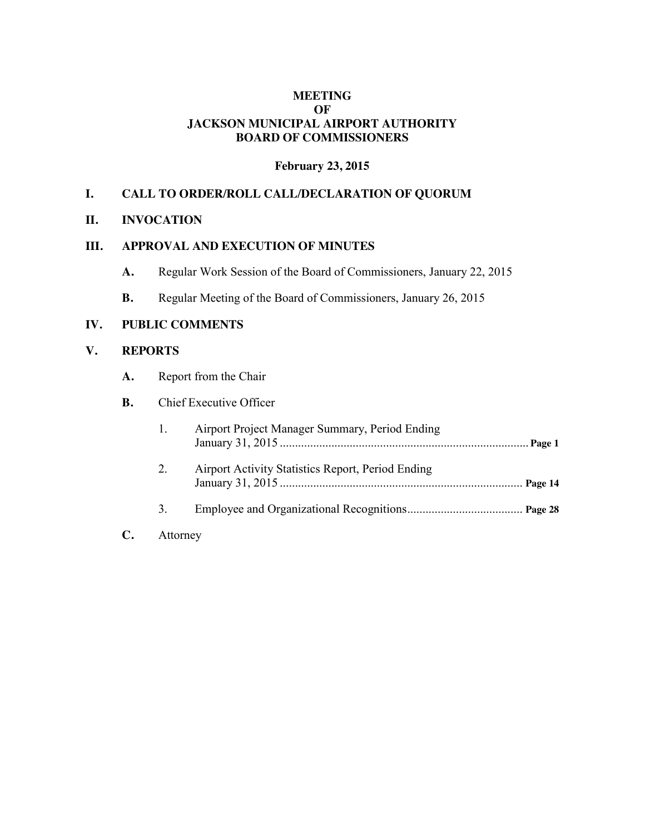### **MEETING OF JACKSON MUNICIPAL AIRPORT AUTHORITY BOARD OF COMMISSIONERS**

### **February 23, 2015**

### **I. CALL TO ORDER/ROLL CALL/DECLARATION OF QUORUM**

#### **II. INVOCATION**

### **III. APPROVAL AND EXECUTION OF MINUTES**

- **A.** Regular Work Session of the Board of Commissioners, January 22, 2015
- **B.** Regular Meeting of the Board of Commissioners, January 26, 2015

#### **IV. PUBLIC COMMENTS**

### **V. REPORTS**

**A.** Report from the Chair

### **B.** Chief Executive Officer

|    |             | Airport Project Manager Summary, Period Ending    |  |
|----|-------------|---------------------------------------------------|--|
|    | $2_{\cdot}$ | Airport Activity Statistics Report, Period Ending |  |
|    | 3.          |                                                   |  |
| C. | Attorney    |                                                   |  |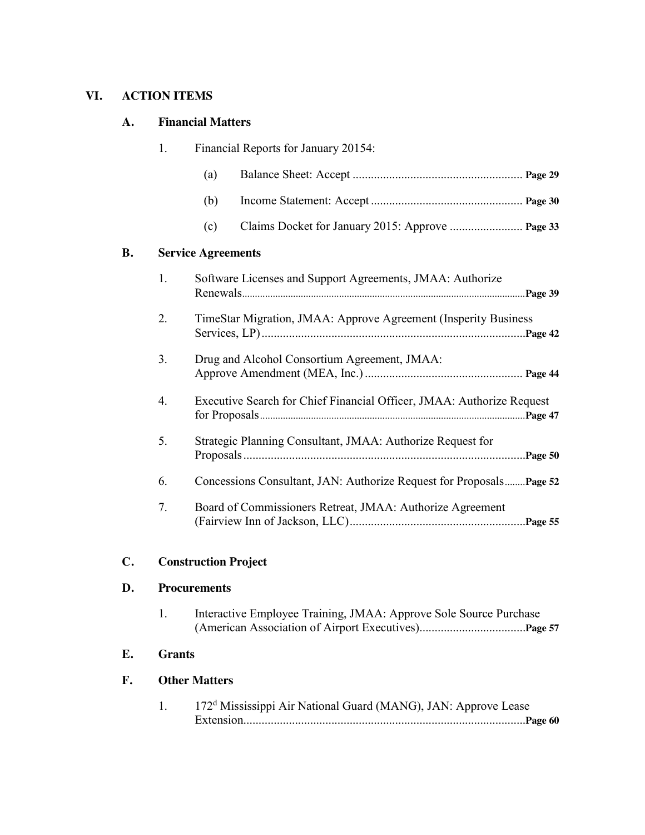# **VI. ACTION ITEMS**

### **A. Financial Matters**

|    | 1.               | Financial Reports for January 20154: |                                                                       |  |
|----|------------------|--------------------------------------|-----------------------------------------------------------------------|--|
|    |                  | (a)                                  |                                                                       |  |
|    |                  | (b)                                  |                                                                       |  |
|    |                  | (c)                                  |                                                                       |  |
| B. |                  | <b>Service Agreements</b>            |                                                                       |  |
|    | 1.               |                                      | Software Licenses and Support Agreements, JMAA: Authorize             |  |
|    | 2.               |                                      | TimeStar Migration, JMAA: Approve Agreement (Insperity Business       |  |
|    | 3 <sub>1</sub>   |                                      | Drug and Alcohol Consortium Agreement, JMAA:                          |  |
|    | $\overline{4}$ . |                                      | Executive Search for Chief Financial Officer, JMAA: Authorize Request |  |
|    | 5.               |                                      | Strategic Planning Consultant, JMAA: Authorize Request for            |  |
|    | 6.               |                                      | Concessions Consultant, JAN: Authorize Request for Proposals Page 52  |  |
|    | 7.               |                                      | Board of Commissioners Retreat, JMAA: Authorize Agreement             |  |

# **C. Construction Project**

## **D. Procurements**

| Interactive Employee Training, JMAA: Approve Sole Source Purchase |  |  |
|-------------------------------------------------------------------|--|--|
|                                                                   |  |  |

### **E. Grants**

# **F. Other Matters**

| 172 <sup>d</sup> Mississippi Air National Guard (MANG), JAN: Approve Lease |
|----------------------------------------------------------------------------|
|                                                                            |